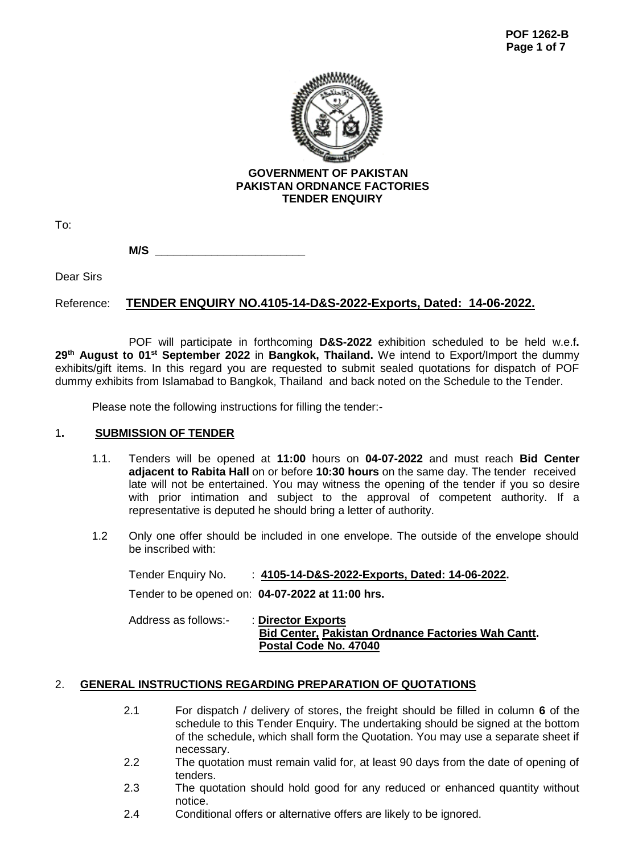

To:

**M/S**  $\_\_$ 

Dear Sirs

# Reference: **TENDER ENQUIRY NO.4105-14-D&S-2022-Exports, Dated: 14-06-2022.**

POF will participate in forthcoming **D&S-2022** exhibition scheduled to be held w.e.f**.**  29<sup>th</sup> August to 01<sup>st</sup> September 2022 in Bangkok, Thailand. We intend to Export/Import the dummy exhibits/gift items. In this regard you are requested to submit sealed quotations for dispatch of POF dummy exhibits from Islamabad to Bangkok, Thailand and back noted on the Schedule to the Tender.

Please note the following instructions for filling the tender:-

# 1**. SUBMISSION OF TENDER**

- 1.1. Tenders will be opened at **11:00** hours on **04-07-2022** and must reach **Bid Center adjacent to Rabita Hall** on or before **10:30 hours** on the same day. The tender received late will not be entertained. You may witness the opening of the tender if you so desire with prior intimation and subject to the approval of competent authority. If a representative is deputed he should bring a letter of authority.
- 1.2 Only one offer should be included in one envelope. The outside of the envelope should be inscribed with:

Tender Enquiry No. : **4105-14-D&S-2022-Exports, Dated: 14-06-2022.** Tender to be opened on: **04-07-2022 at 11:00 hrs.** Address as follows:- : **Director Exports Bid Center, Pakistan Ordnance Factories Wah Cantt. Postal Code No. 47040** 

# 2. **GENERAL INSTRUCTIONS REGARDING PREPARATION OF QUOTATIONS**

- 2.1 For dispatch / delivery of stores, the freight should be filled in column **6** of the schedule to this Tender Enquiry. The undertaking should be signed at the bottom of the schedule, which shall form the Quotation. You may use a separate sheet if necessary.
- 2.2 The quotation must remain valid for, at least 90 days from the date of opening of tenders.
- 2.3 The quotation should hold good for any reduced or enhanced quantity without notice.
- 2.4 Conditional offers or alternative offers are likely to be ignored.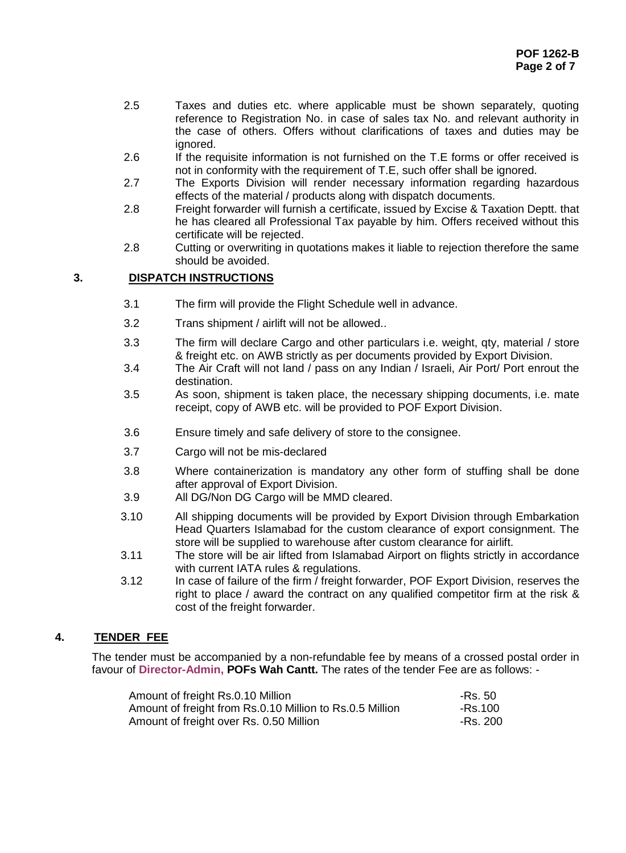- 2.5 Taxes and duties etc. where applicable must be shown separately, quoting reference to Registration No. in case of sales tax No. and relevant authority in the case of others. Offers without clarifications of taxes and duties may be ignored.
- 2.6 If the requisite information is not furnished on the T.E forms or offer received is not in conformity with the requirement of T.E, such offer shall be ignored.
- 2.7 The Exports Division will render necessary information regarding hazardous effects of the material / products along with dispatch documents.
- 2.8 Freight forwarder will furnish a certificate, issued by Excise & Taxation Deptt. that he has cleared all Professional Tax payable by him. Offers received without this certificate will be rejected.
- 2.8 Cutting or overwriting in quotations makes it liable to rejection therefore the same should be avoided.

# **3. DISPATCH INSTRUCTIONS**

- 3.1 The firm will provide the Flight Schedule well in advance.
- 3.2 Trans shipment / airlift will not be allowed..
- 3.3 The firm will declare Cargo and other particulars i.e. weight, qty, material / store & freight etc. on AWB strictly as per documents provided by Export Division.
- 3.4 The Air Craft will not land / pass on any Indian / Israeli, Air Port/ Port enrout the destination.
- 3.5 As soon, shipment is taken place, the necessary shipping documents, i.e. mate receipt, copy of AWB etc. will be provided to POF Export Division.
- 3.6 Ensure timely and safe delivery of store to the consignee.
- 3.7 Cargo will not be mis-declared
- 3.8 Where containerization is mandatory any other form of stuffing shall be done after approval of Export Division.
- 3.9 All DG/Non DG Cargo will be MMD cleared.
- 3.10 All shipping documents will be provided by Export Division through Embarkation Head Quarters Islamabad for the custom clearance of export consignment. The store will be supplied to warehouse after custom clearance for airlift.
- 3.11 The store will be air lifted from Islamabad Airport on flights strictly in accordance with current IATA rules & regulations.
- 3.12 In case of failure of the firm  $\overline{\prime}$  freight forwarder, POF Export Division, reserves the right to place / award the contract on any qualified competitor firm at the risk & cost of the freight forwarder.

# **4. TENDER FEE**

The tender must be accompanied by a non-refundable fee by means of a crossed postal order in favour of **Director-Admin, POFs Wah Cantt.** The rates of the tender Fee are as follows: -

| Amount of freight Rs.0.10 Million                        | -Rs. 50  |
|----------------------------------------------------------|----------|
| Amount of freight from Rs.0.10 Million to Rs.0.5 Million | -Rs.100  |
| Amount of freight over Rs. 0.50 Million                  | -Rs. 200 |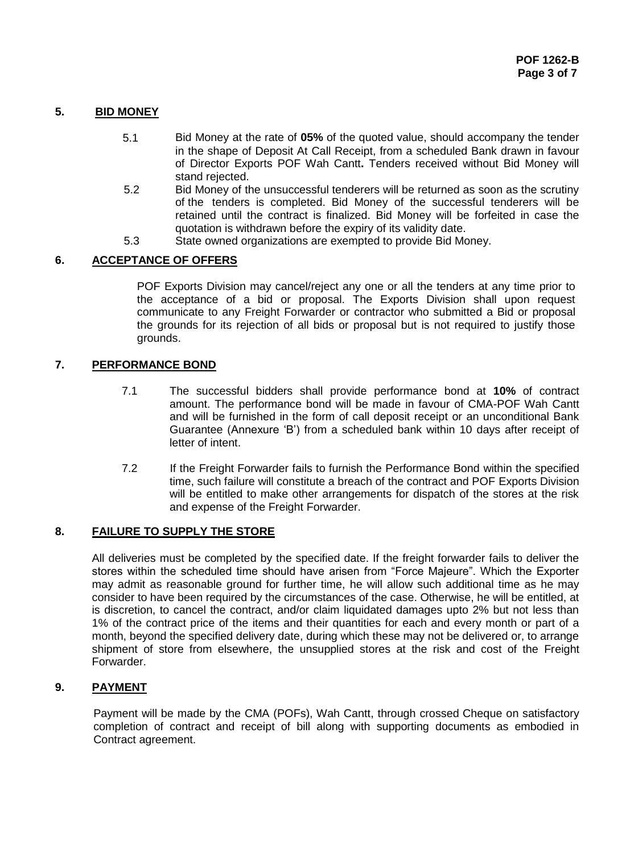# **5. BID MONEY**

- 5.1 Bid Money at the rate of **05%** of the quoted value, should accompany the tender in the shape of Deposit At Call Receipt, from a scheduled Bank drawn in favour of Director Exports POF Wah Cantt**.** Tenders received without Bid Money will stand rejected.
- 5.2 Bid Money of the unsuccessful tenderers will be returned as soon as the scrutiny of the tenders is completed. Bid Money of the successful tenderers will be retained until the contract is finalized. Bid Money will be forfeited in case the quotation is withdrawn before the expiry of its validity date.
- 5.3 State owned organizations are exempted to provide Bid Money.

# **6. ACCEPTANCE OF OFFERS**

POF Exports Division may cancel/reject any one or all the tenders at any time prior to the acceptance of a bid or proposal. The Exports Division shall upon request communicate to any Freight Forwarder or contractor who submitted a Bid or proposal the grounds for its rejection of all bids or proposal but is not required to justify those grounds.

# **7. PERFORMANCE BOND**

- 7.1 The successful bidders shall provide performance bond at **10%** of contract amount. The performance bond will be made in favour of CMA-POF Wah Cantt and will be furnished in the form of call deposit receipt or an unconditional Bank Guarantee (Annexure 'B') from a scheduled bank within 10 days after receipt of letter of intent.
- 7.2 If the Freight Forwarder fails to furnish the Performance Bond within the specified time, such failure will constitute a breach of the contract and POF Exports Division will be entitled to make other arrangements for dispatch of the stores at the risk and expense of the Freight Forwarder.

# **8. FAILURE TO SUPPLY THE STORE**

All deliveries must be completed by the specified date. If the freight forwarder fails to deliver the stores within the scheduled time should have arisen from "Force Majeure". Which the Exporter may admit as reasonable ground for further time, he will allow such additional time as he may consider to have been required by the circumstances of the case. Otherwise, he will be entitled, at is discretion, to cancel the contract, and/or claim liquidated damages upto 2% but not less than 1% of the contract price of the items and their quantities for each and every month or part of a month, beyond the specified delivery date, during which these may not be delivered or, to arrange shipment of store from elsewhere, the unsupplied stores at the risk and cost of the Freight Forwarder.

# **9. PAYMENT**

Payment will be made by the CMA (POFs), Wah Cantt, through crossed Cheque on satisfactory completion of contract and receipt of bill along with supporting documents as embodied in Contract agreement.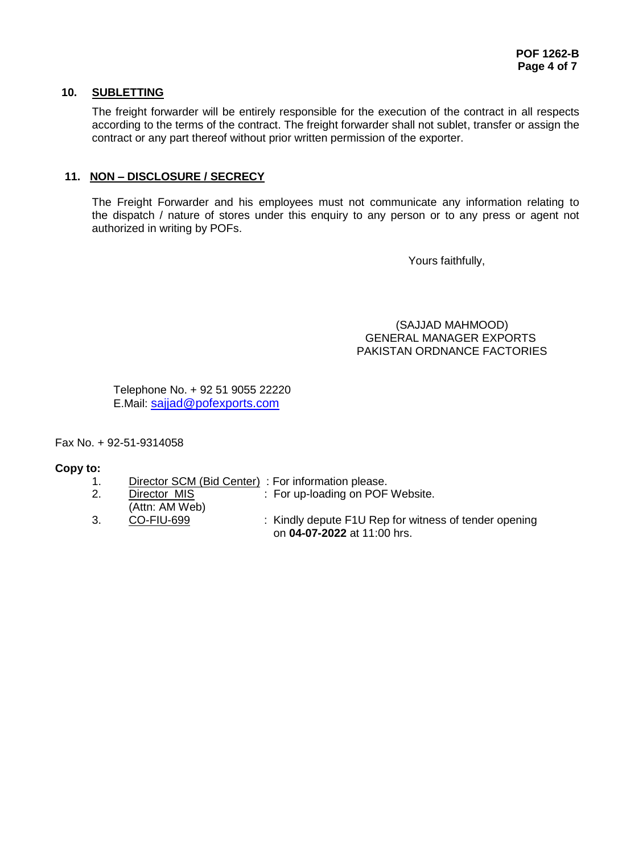# **10. SUBLETTING**

The freight forwarder will be entirely responsible for the execution of the contract in all respects according to the terms of the contract. The freight forwarder shall not sublet, transfer or assign the contract or any part thereof without prior written permission of the exporter.

# **11. NON – DISCLOSURE / SECRECY**

The Freight Forwarder and his employees must not communicate any information relating to the dispatch / nature of stores under this enquiry to any person or to any press or agent not authorized in writing by POFs.

Yours faithfully,

 (SAJJAD MAHMOOD) GENERAL MANAGER EXPORTS PAKISTAN ORDNANCE FACTORIES

Telephone No. + 92 51 9055 22220 E.Mail: [sajjad@pofexports.com](mailto:sajjad@pofexports.com)

Fax No. + 92-51-9314058

# **Copy to:**

- 1. Director SCM (Bid Center) : For information please.
- 2. Director MIS : For up-loading on POF Website.
- (Attn: AM Web) 3. CO-FIU-699 : Kindly depute F1U Rep for witness of tender opening on **04-07-2022** at 11:00 hrs.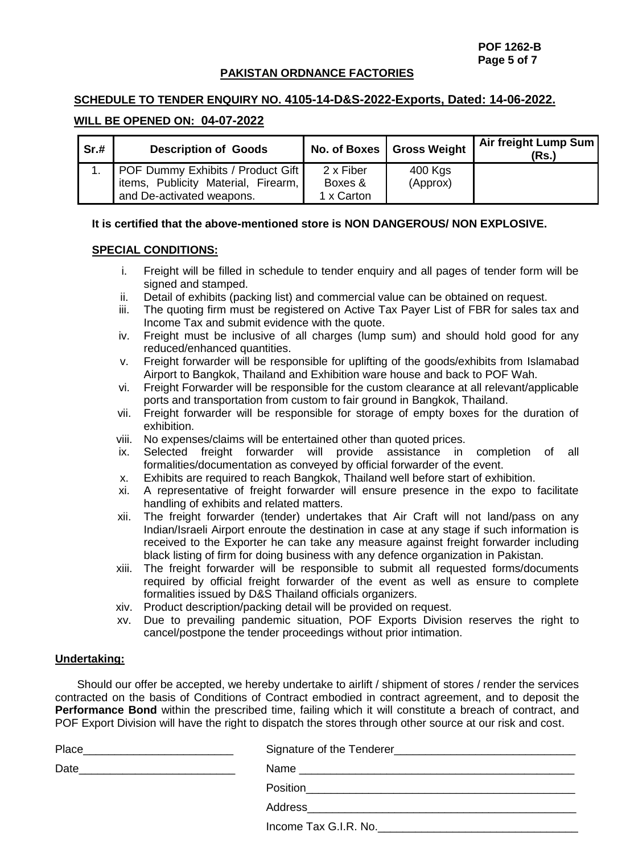**POF 1262-B Page 5 of 7**

#### **PAKISTAN ORDNANCE FACTORIES**

## **SCHEDULE TO TENDER ENQUIRY NO. 4105-14-D&S-2022-Exports, Dated: 14-06-2022.**

#### **WILL BE OPENED ON: 04-07-2022**

| Sr.# | <b>Description of Goods</b>          |            | No. of Boxes   Gross Weight | Air freight Lump Sum<br>(Rs.) |
|------|--------------------------------------|------------|-----------------------------|-------------------------------|
|      | 1. POF Dummy Exhibits / Product Gift | 2 x Fiber  | 400 Kgs                     |                               |
|      | items, Publicity Material, Firearm,  | Boxes &    | (Approx)                    |                               |
|      | and De-activated weapons.            | 1 x Carton |                             |                               |

#### **It is certified that the above-mentioned store is NON DANGEROUS/ NON EXPLOSIVE.**

#### **SPECIAL CONDITIONS:**

- i. Freight will be filled in schedule to tender enquiry and all pages of tender form will be signed and stamped.
- ii. Detail of exhibits (packing list) and commercial value can be obtained on request.
- iii. The quoting firm must be registered on Active Tax Payer List of FBR for sales tax and Income Tax and submit evidence with the quote.
- iv. Freight must be inclusive of all charges (lump sum) and should hold good for any reduced/enhanced quantities.
- v. Freight forwarder will be responsible for uplifting of the goods/exhibits from Islamabad Airport to Bangkok, Thailand and Exhibition ware house and back to POF Wah.
- vi. Freight Forwarder will be responsible for the custom clearance at all relevant/applicable ports and transportation from custom to fair ground in Bangkok, Thailand.
- vii. Freight forwarder will be responsible for storage of empty boxes for the duration of exhibition.
- viii. No expenses/claims will be entertained other than quoted prices.
- ix. Selected freight forwarder will provide assistance in completion of all formalities/documentation as conveyed by official forwarder of the event.
- x. Exhibits are required to reach Bangkok, Thailand well before start of exhibition.
- xi. A representative of freight forwarder will ensure presence in the expo to facilitate handling of exhibits and related matters.
- xii. The freight forwarder (tender) undertakes that Air Craft will not land/pass on any Indian/Israeli Airport enroute the destination in case at any stage if such information is received to the Exporter he can take any measure against freight forwarder including black listing of firm for doing business with any defence organization in Pakistan.
- xiii. The freight forwarder will be responsible to submit all requested forms/documents required by official freight forwarder of the event as well as ensure to complete formalities issued by D&S Thailand officials organizers.
- xiv. Product description/packing detail will be provided on request.
- xv. Due to prevailing pandemic situation, POF Exports Division reserves the right to cancel/postpone the tender proceedings without prior intimation.

#### **Undertaking:**

 Should our offer be accepted, we hereby undertake to airlift / shipment of stores / render the services contracted on the basis of Conditions of Contract embodied in contract agreement, and to deposit the **Performance Bond** within the prescribed time, failing which it will constitute a breach of contract, and POF Export Division will have the right to dispatch the stores through other source at our risk and cost.

| Place<br><u> 1980 - Jan Barbara (j. 1980)</u> |                                                                       |
|-----------------------------------------------|-----------------------------------------------------------------------|
| Date                                          |                                                                       |
|                                               | Position<br><u> 1989 - John Stone, Amerikaansk politiker († 1989)</u> |
|                                               |                                                                       |
|                                               | Income Tax G.I.R. No.                                                 |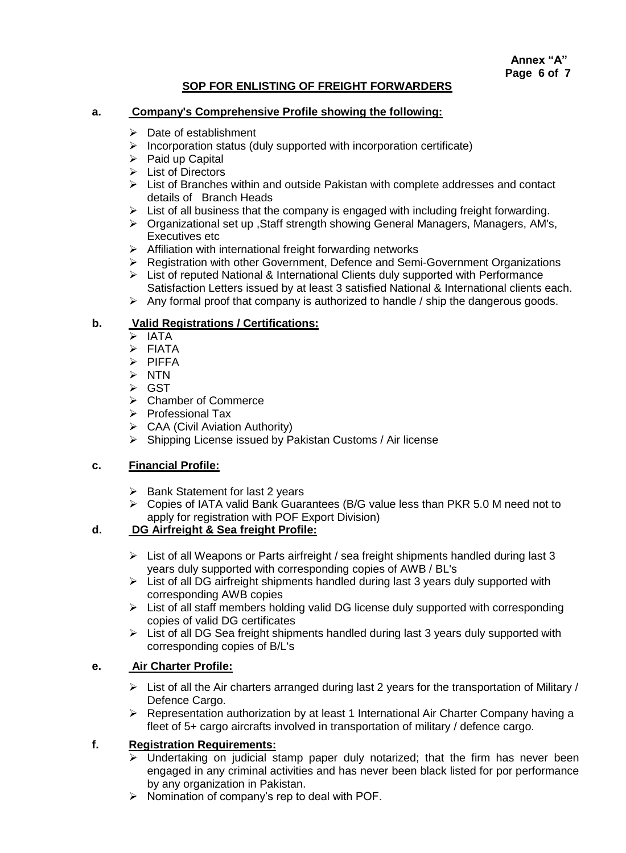# **SOP FOR ENLISTING OF FREIGHT FORWARDERS**

### **a. Company's Comprehensive Profile showing the following:**

- $\triangleright$  Date of establishment
- $\triangleright$  Incorporation status (duly supported with incorporation certificate)
- $\triangleright$  Paid up Capital
- $\triangleright$  List of Directors
- $\triangleright$  List of Branches within and outside Pakistan with complete addresses and contact details of Branch Heads
- $\triangleright$  List of all business that the company is engaged with including freight forwarding.
- Organizational set up ,Staff strength showing General Managers, Managers, AM's, Executives etc
- $\triangleright$  Affiliation with international freight forwarding networks
- Registration with other Government, Defence and Semi-Government Organizations
- $\triangleright$  List of reputed National & International Clients duly supported with Performance Satisfaction Letters issued by at least 3 satisfied National & International clients each.
- $\triangleright$  Any formal proof that company is authorized to handle / ship the dangerous goods.

# **b. Valid Registrations / Certifications:**<br>> IATA

- IATA
- $\triangleright$  FIATA
- $\triangleright$  PIFFA
- $\triangleright$  NTN
- **≻ GST**
- **►** Chamber of Commerce
- $\triangleright$  Professional Tax
- $\triangleright$  CAA (Civil Aviation Authority)
- $\triangleright$  Shipping License issued by Pakistan Customs / Air license

## **c. Financial Profile:**

- $\triangleright$  Bank Statement for last 2 years
- Copies of IATA valid Bank Guarantees (B/G value less than PKR 5.0 M need not to apply for registration with POF Export Division)

# **d. DG Airfreight & Sea freight Profile:**

- $\triangleright$  List of all Weapons or Parts airfreight / sea freight shipments handled during last 3 years duly supported with corresponding copies of AWB / BL's
- $\triangleright$  List of all DG airfreight shipments handled during last 3 years duly supported with corresponding AWB copies
- $\triangleright$  List of all staff members holding valid DG license duly supported with corresponding copies of valid DG certificates
- $\triangleright$  List of all DG Sea freight shipments handled during last 3 years duly supported with corresponding copies of B/L's

# **e. Air Charter Profile:**

- $\triangleright$  List of all the Air charters arranged during last 2 years for the transportation of Military / Defence Cargo.
- $\triangleright$  Representation authorization by at least 1 International Air Charter Company having a fleet of 5+ cargo aircrafts involved in transportation of military / defence cargo.

#### **f. Registration Requirements:**

- $\triangleright$  Undertaking on judicial stamp paper duly notarized; that the firm has never been engaged in any criminal activities and has never been black listed for por performance by any organization in Pakistan.
- $\triangleright$  Nomination of company's rep to deal with POF.